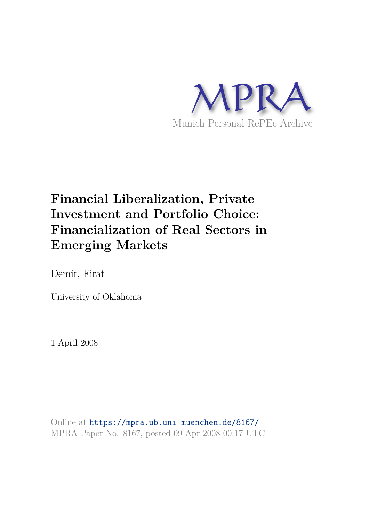

# **Financial Liberalization, Private Investment and Portfolio Choice: Financialization of Real Sectors in Emerging Markets**

Demir, Firat

University of Oklahoma

1 April 2008

Online at https://mpra.ub.uni-muenchen.de/8167/ MPRA Paper No. 8167, posted 09 Apr 2008 00:17 UTC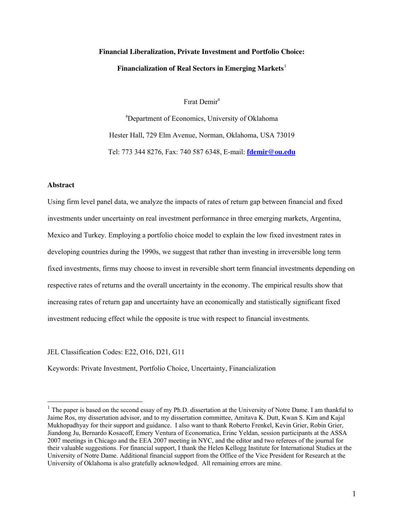# **Financial Liberalization, Private Investment and Portfolio Choice: Financialization of Real Sectors in Emerging Markets**[1](#page-1-0)

Fırat Demir<sup>a</sup>

<sup>a</sup>Department of Economics, University of Oklahoma Hester Hall, 729 Elm Avenue, Norman, Oklahoma, USA 73019 Tel: 773 344 8276, Fax: 740 587 6348, E-mail: **[fdemir@ou.edu](mailto:fdemir@ou.edu)**

# **Abstract**

 $\overline{a}$ 

Using firm level panel data, we analyze the impacts of rates of return gap between financial and fixed investments under uncertainty on real investment performance in three emerging markets, Argentina, Mexico and Turkey. Employing a portfolio choice model to explain the low fixed investment rates in developing countries during the 1990s, we suggest that rather than investing in irreversible long term fixed investments, firms may choose to invest in reversible short term financial investments depending on respective rates of returns and the overall uncertainty in the economy. The empirical results show that increasing rates of return gap and uncertainty have an economically and statistically significant fixed investment reducing effect while the opposite is true with respect to financial investments.

JEL Classification Codes: E22, O16, D21, G11

Keywords: Private Investment, Portfolio Choice, Uncertainty, Financialization

<span id="page-1-0"></span> $<sup>1</sup>$  The paper is based on the second essay of my Ph.D. dissertation at the University of Notre Dame. I am thankful to</sup> Jaime Ros, my dissertation advisor, and to my dissertation committee, Amitava K. Dutt, Kwan S. Kim and Kajal Mukhopadhyay for their support and guidance. I also want to thank Roberto Frenkel, Kevin Grier, Robin Grier, Jiandong Ju, Bernardo Kosacoff, Emery Ventura of Economatica, Erinc Yeldan, session participants at the ASSA 2007 meetings in Chicago and the EEA 2007 meeting in NYC, and the editor and two referees of the journal for their valuable suggestions. For financial support, I thank the Helen Kellogg Institute for International Studies at the University of Notre Dame. Additional financial support from the Office of the Vice President for Research at the University of Oklahoma is also gratefully acknowledged. All remaining errors are mine.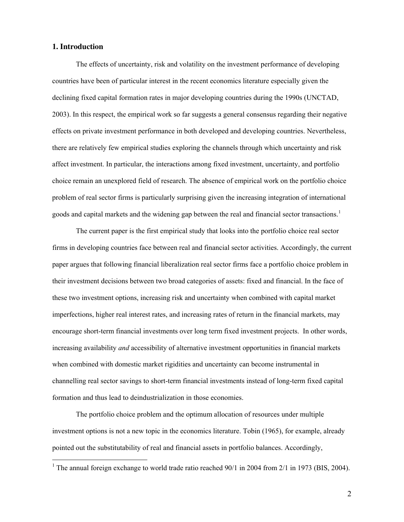# **1. Introduction**

 $\overline{a}$ 

The effects of uncertainty, risk and volatility on the investment performance of developing countries have been of particular interest in the recent economics literature especially given the declining fixed capital formation rates in major developing countries during the 1990s (UNCTAD, 2003). In this respect, the empirical work so far suggests a general consensus regarding their negative effects on private investment performance in both developed and developing countries. Nevertheless, there are relatively few empirical studies exploring the channels through which uncertainty and risk affect investment. In particular, the interactions among fixed investment, uncertainty, and portfolio choice remain an unexplored field of research. The absence of empirical work on the portfolio choice problem of real sector firms is particularly surprising given the increasing integration of international goods and capital markets and the widening gap between the real and financial sector transactions.<sup>[1](#page-2-0)</sup>

The current paper is the first empirical study that looks into the portfolio choice real sector firms in developing countries face between real and financial sector activities. Accordingly, the current paper argues that following financial liberalization real sector firms face a portfolio choice problem in their investment decisions between two broad categories of assets: fixed and financial. In the face of these two investment options, increasing risk and uncertainty when combined with capital market imperfections, higher real interest rates, and increasing rates of return in the financial markets, may encourage short-term financial investments over long term fixed investment projects. In other words, increasing availability *and* accessibility of alternative investment opportunities in financial markets when combined with domestic market rigidities and uncertainty can become instrumental in channelling real sector savings to short-term financial investments instead of long-term fixed capital formation and thus lead to deindustrialization in those economies.

The portfolio choice problem and the optimum allocation of resources under multiple investment options is not a new topic in the economics literature. Tobin (1965), for example, already pointed out the substitutability of real and financial assets in portfolio balances. Accordingly,

<span id="page-2-0"></span><sup>&</sup>lt;sup>1</sup> The annual foreign exchange to world trade ratio reached  $90/1$  in 2004 from 2/1 in 1973 (BIS, 2004).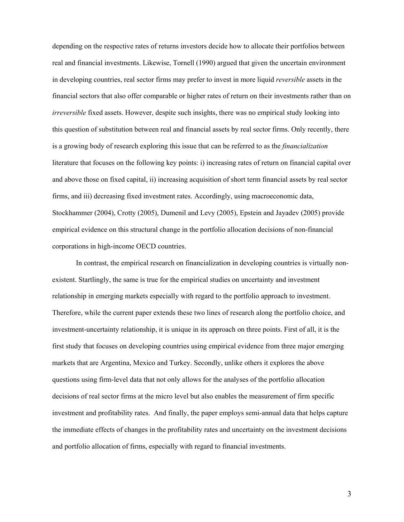depending on the respective rates of returns investors decide how to allocate their portfolios between real and financial investments. Likewise, Tornell (1990) argued that given the uncertain environment in developing countries, real sector firms may prefer to invest in more liquid *reversible* assets in the financial sectors that also offer comparable or higher rates of return on their investments rather than on *irreversible* fixed assets. However, despite such insights, there was no empirical study looking into this question of substitution between real and financial assets by real sector firms. Only recently, there is a growing body of research exploring this issue that can be referred to as the *financialization*  literature that focuses on the following key points: i) increasing rates of return on financial capital over and above those on fixed capital, ii) increasing acquisition of short term financial assets by real sector firms, and iii) decreasing fixed investment rates. Accordingly, using macroeconomic data, Stockhammer (2004), Crotty (2005), Dumenil and Levy (2005), Epstein and Jayadev (2005) provide empirical evidence on this structural change in the portfolio allocation decisions of non-financial corporations in high-income OECD countries.

In contrast, the empirical research on financialization in developing countries is virtually nonexistent. Startlingly, the same is true for the empirical studies on uncertainty and investment relationship in emerging markets especially with regard to the portfolio approach to investment. Therefore, while the current paper extends these two lines of research along the portfolio choice, and investment-uncertainty relationship, it is unique in its approach on three points. First of all, it is the first study that focuses on developing countries using empirical evidence from three major emerging markets that are Argentina, Mexico and Turkey. Secondly, unlike others it explores the above questions using firm-level data that not only allows for the analyses of the portfolio allocation decisions of real sector firms at the micro level but also enables the measurement of firm specific investment and profitability rates. And finally, the paper employs semi-annual data that helps capture the immediate effects of changes in the profitability rates and uncertainty on the investment decisions and portfolio allocation of firms, especially with regard to financial investments.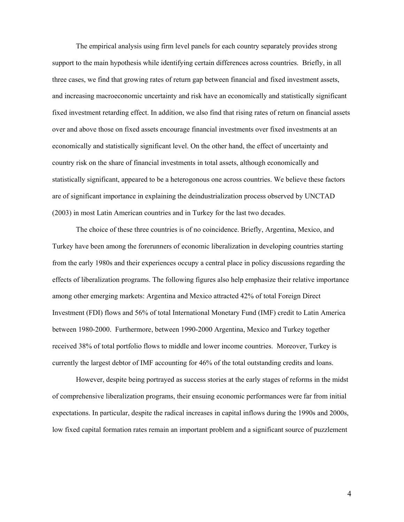The empirical analysis using firm level panels for each country separately provides strong support to the main hypothesis while identifying certain differences across countries. Briefly, in all three cases, we find that growing rates of return gap between financial and fixed investment assets, and increasing macroeconomic uncertainty and risk have an economically and statistically significant fixed investment retarding effect. In addition, we also find that rising rates of return on financial assets over and above those on fixed assets encourage financial investments over fixed investments at an economically and statistically significant level. On the other hand, the effect of uncertainty and country risk on the share of financial investments in total assets, although economically and statistically significant, appeared to be a heterogonous one across countries. We believe these factors are of significant importance in explaining the deindustrialization process observed by UNCTAD (2003) in most Latin American countries and in Turkey for the last two decades.

The choice of these three countries is of no coincidence. Briefly, Argentina, Mexico, and Turkey have been among the forerunners of economic liberalization in developing countries starting from the early 1980s and their experiences occupy a central place in policy discussions regarding the effects of liberalization programs. The following figures also help emphasize their relative importance among other emerging markets: Argentina and Mexico attracted 42% of total Foreign Direct Investment (FDI) flows and 56% of total International Monetary Fund (IMF) credit to Latin America between 1980-2000. Furthermore, between 1990-2000 Argentina, Mexico and Turkey together received 38% of total portfolio flows to middle and lower income countries. Moreover, Turkey is currently the largest debtor of IMF accounting for 46% of the total outstanding credits and loans.

However, despite being portrayed as success stories at the early stages of reforms in the midst of comprehensive liberalization programs, their ensuing economic performances were far from initial expectations. In particular, despite the radical increases in capital inflows during the 1990s and 2000s, low fixed capital formation rates remain an important problem and a significant source of puzzlement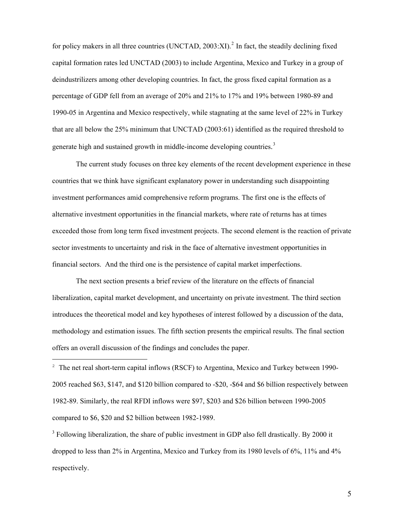for policy makers in all three countries (UNCTAD,  $2003$  $2003$ :XI).<sup>2</sup> In fact, the steadily declining fixed capital formation rates led UNCTAD (2003) to include Argentina, Mexico and Turkey in a group of deindustrilizers among other developing countries. In fact, the gross fixed capital formation as a percentage of GDP fell from an average of 20% and 21% to 17% and 19% between 1980-89 and 1990-05 in Argentina and Mexico respectively, while stagnating at the same level of 22% in Turkey that are all below the 25% minimum that UNCTAD (2003:61) identified as the required threshold to generate high and sustained growth in middle-income developing countries.<sup>[3](#page-5-1)</sup>

The current study focuses on three key elements of the recent development experience in these countries that we think have significant explanatory power in understanding such disappointing investment performances amid comprehensive reform programs. The first one is the effects of alternative investment opportunities in the financial markets, where rate of returns has at times exceeded those from long term fixed investment projects. The second element is the reaction of private sector investments to uncertainty and risk in the face of alternative investment opportunities in financial sectors. And the third one is the persistence of capital market imperfections.

The next section presents a brief review of the literature on the effects of financial liberalization, capital market development, and uncertainty on private investment. The third section introduces the theoretical model and key hypotheses of interest followed by a discussion of the data, methodology and estimation issues. The fifth section presents the empirical results. The final section offers an overall discussion of the findings and concludes the paper.

<span id="page-5-0"></span> $2\degree$  The net real short-term capital inflows (RSCF) to Argentina, Mexico and Turkey between 1990-2005 reached \$63, \$147, and \$120 billion compared to -\$20, -\$64 and \$6 billion respectively between 1982-89. Similarly, the real RFDI inflows were \$97, \$203 and \$26 billion between 1990-2005 compared to \$6, \$20 and \$2 billion between 1982-1989.

 $\overline{a}$ 

<span id="page-5-1"></span> $3$  Following liberalization, the share of public investment in GDP also fell drastically. By 2000 it dropped to less than 2% in Argentina, Mexico and Turkey from its 1980 levels of 6%, 11% and 4% respectively.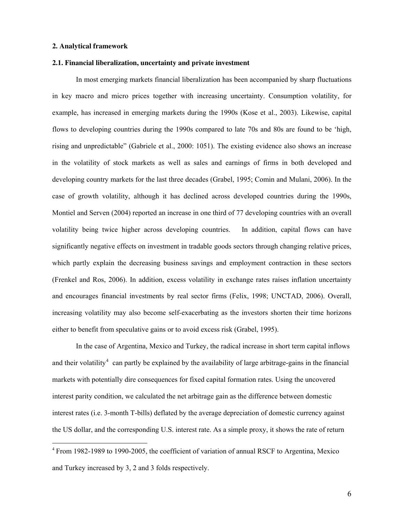#### <span id="page-6-0"></span>**2. Analytical framework**

 $\overline{a}$ 

#### **2.1. Financial liberalization, uncertainty and private investment**

In most emerging markets financial liberalization has been accompanied by sharp fluctuations in key macro and micro prices together with increasing uncertainty. Consumption volatility, for example, has increased in emerging markets during the 1990s (Kose et al., 2003). Likewise, capital flows to developing countries during the 1990s compared to late 70s and 80s are found to be 'high, rising and unpredictable" (Gabriele et al., 2000: 1051). The existing evidence also shows an increase in the volatility of stock markets as well as sales and earnings of firms in both developed and developing country markets for the last three decades (Grabel, 1995; Comin and Mulani, 2006). In the case of growth volatility, although it has declined across developed countries during the 1990s, Montiel and Serven (2004) reported an increase in one third of 77 developing countries with an overall volatility being twice higher across developing countries. In addition, capital flows can have significantly negative effects on investment in tradable goods sectors through changing relative prices, which partly explain the decreasing business savings and employment contraction in these sectors (Frenkel and Ros, 2006). In addition, excess volatility in exchange rates raises inflation uncertainty and encourages financial investments by real sector firms (Felix, 1998; UNCTAD, 2006). Overall, increasing volatility may also become self-exacerbating as the investors shorten their time horizons either to benefit from speculative gains or to avoid excess risk (Grabel, 1995).

In the case of Argentina, Mexico and Turkey, the radical increase in short term capital inflows and their volatility<sup>[4](#page-6-0)</sup> can partly be explained by the availability of large arbitrage-gains in the financial markets with potentially dire consequences for fixed capital formation rates. Using the uncovered interest parity condition, we calculated the net arbitrage gain as the difference between domestic interest rates (i.e. 3-month T-bills) deflated by the average depreciation of domestic currency against the US dollar, and the corresponding U.S. interest rate. As a simple proxy, it shows the rate of return

<sup>4</sup> From 1982-1989 to 1990-2005, the coefficient of variation of annual RSCF to Argentina, Mexico and Turkey increased by 3, 2 and 3 folds respectively.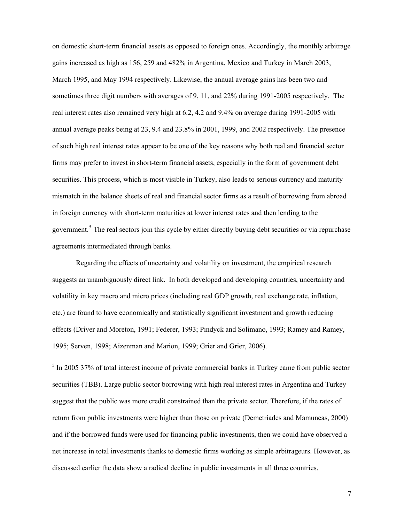<span id="page-7-0"></span>on domestic short-term financial assets as opposed to foreign ones. Accordingly, the monthly arbitrage gains increased as high as 156, 259 and 482% in Argentina, Mexico and Turkey in March 2003, March 1995, and May 1994 respectively. Likewise, the annual average gains has been two and sometimes three digit numbers with averages of 9, 11, and 22% during 1991-2005 respectively. The real interest rates also remained very high at 6.2, 4.2 and 9.4% on average during 1991-2005 with annual average peaks being at 23, 9.4 and 23.8% in 2001, 1999, and 2002 respectively. The presence of such high real interest rates appear to be one of the key reasons why both real and financial sector firms may prefer to invest in short-term financial assets, especially in the form of government debt securities. This process, which is most visible in Turkey, also leads to serious currency and maturity mismatch in the balance sheets of real and financial sector firms as a result of borrowing from abroad in foreign currency with short-term maturities at lower interest rates and then lending to the government.<sup>[5](#page-7-0)</sup> The real sectors join this cycle by either directly buying debt securities or via repurchase agreements intermediated through banks.

Regarding the effects of uncertainty and volatility on investment, the empirical research suggests an unambiguously direct link. In both developed and developing countries, uncertainty and volatility in key macro and micro prices (including real GDP growth, real exchange rate, inflation, etc.) are found to have economically and statistically significant investment and growth reducing effects (Driver and Moreton, 1991; Federer, 1993; Pindyck and Solimano, 1993; Ramey and Ramey, 1995; Serven, 1998; Aizenman and Marion, 1999; Grier and Grier, 2006).

<sup>5</sup> In 2005 37% of total interest income of private commercial banks in Turkey came from public sector securities (TBB). Large public sector borrowing with high real interest rates in Argentina and Turkey suggest that the public was more credit constrained than the private sector. Therefore, if the rates of return from public investments were higher than those on private (Demetriades and Mamuneas, 2000) and if the borrowed funds were used for financing public investments, then we could have observed a net increase in total investments thanks to domestic firms working as simple arbitrageurs. However, as discussed earlier the data show a radical decline in public investments in all three countries.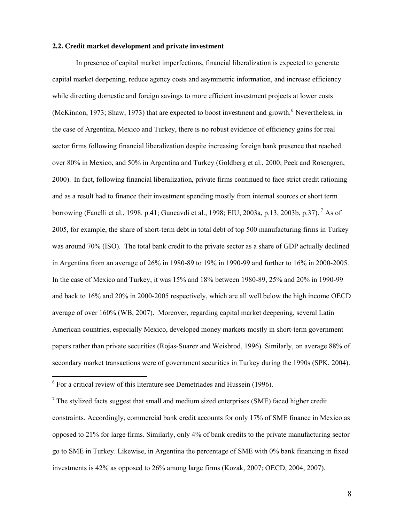#### <span id="page-8-0"></span>**2.2. Credit market development and private investment**

In presence of capital market imperfections, financial liberalization is expected to generate capital market deepening, reduce agency costs and asymmetric information, and increase efficiency while directing domestic and foreign savings to more efficient investment projects at lower costs (McKinnon, 1973; Shaw, 1973) that are expected to boost investment and growth.<sup>[6](#page-8-0)</sup> Nevertheless, in the case of Argentina, Mexico and Turkey, there is no robust evidence of efficiency gains for real sector firms following financial liberalization despite increasing foreign bank presence that reached over 80% in Mexico, and 50% in Argentina and Turkey (Goldberg et al., 2000; Peek and Rosengren, 2000). In fact, following financial liberalization, private firms continued to face strict credit rationing and as a result had to finance their investment spending mostly from internal sources or short term borrowing (Fanelli et al., 1998. p.41; Guncavdi et al., 1998; EIU, 2003a, p.13, 2003b, p.37). [7](#page-8-0) As of 2005, for example, the share of short-term debt in total debt of top 500 manufacturing firms in Turkey was around 70% (ISO). The total bank credit to the private sector as a share of GDP actually declined in Argentina from an average of 26% in 1980-89 to 19% in 1990-99 and further to 16% in 2000-2005. In the case of Mexico and Turkey, it was 15% and 18% between 1980-89, 25% and 20% in 1990-99 and back to 16% and 20% in 2000-2005 respectively, which are all well below the high income OECD average of over 160% (WB, 2007). Moreover, regarding capital market deepening, several Latin American countries, especially Mexico, developed money markets mostly in short-term government papers rather than private securities (Rojas-Suarez and Weisbrod, 1996). Similarly, on average 88% of secondary market transactions were of government securities in Turkey during the 1990s (SPK, 2004).

 $\overline{a}$ 

 $6$  For a critical review of this literature see Demetriades and Hussein (1996).

 $<sup>7</sup>$  The stylized facts suggest that small and medium sized enterprises (SME) faced higher credit</sup> constraints. Accordingly, commercial bank credit accounts for only 17% of SME finance in Mexico as opposed to 21% for large firms. Similarly, only 4% of bank credits to the private manufacturing sector go to SME in Turkey. Likewise, in Argentina the percentage of SME with 0% bank financing in fixed investments is 42% as opposed to 26% among large firms (Kozak, 2007; OECD, 2004, 2007).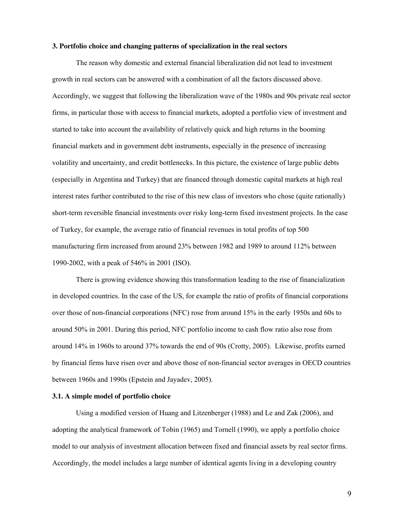#### **3. Portfolio choice and changing patterns of specialization in the real sectors**

The reason why domestic and external financial liberalization did not lead to investment growth in real sectors can be answered with a combination of all the factors discussed above. Accordingly, we suggest that following the liberalization wave of the 1980s and 90s private real sector firms, in particular those with access to financial markets, adopted a portfolio view of investment and started to take into account the availability of relatively quick and high returns in the booming financial markets and in government debt instruments, especially in the presence of increasing volatility and uncertainty, and credit bottlenecks. In this picture, the existence of large public debts (especially in Argentina and Turkey) that are financed through domestic capital markets at high real interest rates further contributed to the rise of this new class of investors who chose (quite rationally) short-term reversible financial investments over risky long-term fixed investment projects. In the case of Turkey, for example, the average ratio of financial revenues in total profits of top 500 manufacturing firm increased from around 23% between 1982 and 1989 to around 112% between 1990-2002, with a peak of 546% in 2001 (ISO).

There is growing evidence showing this transformation leading to the rise of financialization in developed countries. In the case of the US, for example the ratio of profits of financial corporations over those of non-financial corporations (NFC) rose from around 15% in the early 1950s and 60s to around 50% in 2001. During this period, NFC portfolio income to cash flow ratio also rose from around 14% in 1960s to around 37% towards the end of 90s (Crotty, 2005). Likewise, profits earned by financial firms have risen over and above those of non-financial sector averages in OECD countries between 1960s and 1990s (Epstein and Jayadev, 2005).

#### **3.1. A simple model of portfolio choice**

Using a modified version of Huang and Litzenberger (1988) and Le and Zak (2006), and adopting the analytical framework of Tobin (1965) and Tornell (1990), we apply a portfolio choice model to our analysis of investment allocation between fixed and financial assets by real sector firms. Accordingly, the model includes a large number of identical agents living in a developing country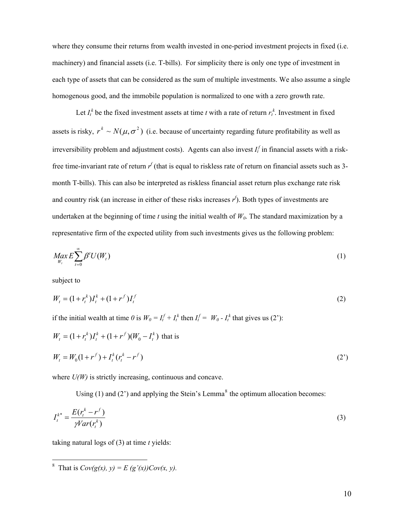<span id="page-10-0"></span>where they consume their returns from wealth invested in one-period investment projects in fixed (i.e. machinery) and financial assets (i.e. T-bills). For simplicity there is only one type of investment in each type of assets that can be considered as the sum of multiple investments. We also assume a single homogenous good, and the immobile population is normalized to one with a zero growth rate.

Let  $I_t^k$  be the fixed investment assets at time *t* with a rate of return  $r_t^k$ . Investment in fixed assets is risky,  $r^k \sim N(\mu, \sigma^2)$  (i.e. because of uncertainty regarding future profitability as well as irreversibility problem and adjustment costs). Agents can also invest *I<sup>t</sup> f* in financial assets with a riskfree time-invariant rate of return  $r^f$  (that is equal to riskless rate of return on financial assets such as 3month T-bills). This can also be interpreted as riskless financial asset return plus exchange rate risk and country risk (an increase in either of these risks increases *r f* ). Both types of investments are undertaken at the beginning of time  $t$  using the initial wealth of  $W_0$ . The standard maximization by a representative firm of the expected utility from such investments gives us the following problem:

$$
\underset{W_t}{\text{Max}} E \sum_{t=0}^{\infty} \beta^t U(W_t) \tag{1}
$$

subject to

$$
W_t = (1 + r_t^k)I_t^k + (1 + r^f)I_t^f \tag{2}
$$

if the initial wealth at time  $\theta$  is  $W_0 = I_t^f + I_t^k$  then  $I_t^f = W_0 - I_t^k$  that gives us (2'):

$$
W_t = (1 + r_t^k)I_t^k + (1 + r^f)(W_0 - I_t^k)
$$
 that is  

$$
W_t = W_0(1 + r^f) + I_t^k(r_t^k - r^f)
$$
 (2')

where  $U(W)$  is strictly increasing, continuous and concave.

Using  $(1)$  and  $(2')$  and applying the Stein's Lemma<sup>[8](#page-10-0)</sup> the optimum allocation becomes:

$$
I_t^{k^*} = \frac{E(r_t^k - r^f)}{\gamma Var(r_t^k)}
$$
(3)

taking natural logs of (3) at time *t* yields:

<sup>&</sup>lt;sup>8</sup> That is  $Cov(g(x), y) = E(g'(x))Cov(x, y)$ .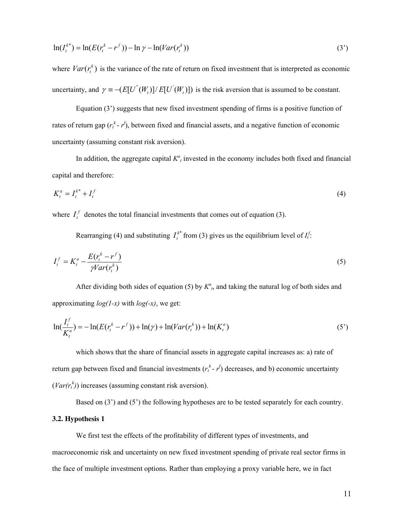$$
\ln(I_t^{k^*}) = \ln(E(r_t^k - r^f)) - \ln \gamma - \ln(Var(r_t^k))
$$
\n(3')

where  $Var(r_t^k)$  is the variance of the rate of return on fixed investment that is interpreted as economic uncertainty, and  $\gamma = -(E[U^{(W)}(W_t)]/E[U^{(W)}(W_t)])$  is the risk aversion that is assumed to be constant.

 Equation (3') suggests that new fixed investment spending of firms is a positive function of rates of return gap  $(r_t^k - r)$ , between fixed and financial assets, and a negative function of economic uncertainty (assuming constant risk aversion).

In addition, the aggregate capital  $K^a$  invested in the economy includes both fixed and financial capital and therefore:

$$
K_t^a = I_t^{k^*} + I_t^f \tag{4}
$$

where  $I_t^f$  denotes the total financial investments that comes out of equation (3).

Rearranging (4) and substituting  $I_t^{k*}$  from (3) gives us the equilibrium level of  $I_t^f$ . *t I*

$$
I_t^f = K_t^a - \frac{E(r_t^k - r^f)}{\gamma Var(r_t^k)}
$$
\n<sup>(5)</sup>

After dividing both sides of equation (5) by  $K^a$ , and taking the natural log of both sides and approximating *log(1-x)* with *log(-x)*, we get:

$$
\ln(\frac{I_t^f}{K_t^a}) = -\ln(E(r_t^k - r^f)) + \ln(\gamma) + \ln(Var(r_t^k)) + \ln(K_t^a)
$$
\n(5')

which shows that the share of financial assets in aggregate capital increases as: a) rate of return gap between fixed and financial investments  $(r_t^k - r^k)$  decreases, and b) economic uncertainty  $(Var(r_t^k))$  increases (assuming constant risk aversion).

Based on (3') and (5') the following hypotheses are to be tested separately for each country.

## **3.2. Hypothesis 1**

We first test the effects of the profitability of different types of investments, and macroeconomic risk and uncertainty on new fixed investment spending of private real sector firms in the face of multiple investment options. Rather than employing a proxy variable here, we in fact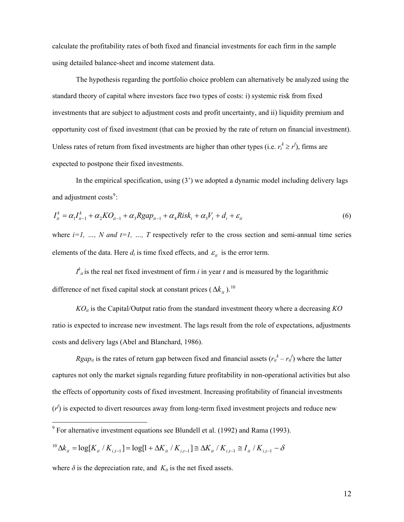<span id="page-12-0"></span>calculate the profitability rates of both fixed and financial investments for each firm in the sample using detailed balance-sheet and income statement data.

The hypothesis regarding the portfolio choice problem can alternatively be analyzed using the standard theory of capital where investors face two types of costs: i) systemic risk from fixed investments that are subject to adjustment costs and profit uncertainty, and ii) liquidity premium and opportunity cost of fixed investment (that can be proxied by the rate of return on financial investment). Unless rates of return from fixed investments are higher than other types (i.e.  $r_t^k \ge r^f$ ), firms are expected to postpone their fixed investments.

In the empirical specification, using (3') we adopted a dynamic model including delivery lags and adjustment costs<sup>[9](#page-12-0)</sup>:

$$
I_{it}^{k} = \alpha_{1}I_{it-1}^{k} + \alpha_{2}KO_{it-1} + \alpha_{3}Rgap_{it-1} + \alpha_{4}Risk_{t} + \alpha_{5}V_{t} + d_{t} + \varepsilon_{it}
$$
\n(6)

where  $i=1, \ldots, N$  and  $t=1, \ldots, T$  respectively refer to the cross section and semi-annual time series elements of the data. Here  $d_t$  is time fixed effects, and  $\varepsilon_{it}$  is the error term.

 $I_{i}^{k}$  *i*s the real net fixed investment of firm *i* in year *t* and is measured by the logarithmic difference of net fixed capital stock at constant prices ( $\Delta k_{it}$ ).<sup>[10](#page-12-0)</sup>

*KOit* is the Capital/Output ratio from the standard investment theory where a decreasing *KO* ratio is expected to increase new investment. The lags result from the role of expectations, adjustments costs and delivery lags (Abel and Blanchard, 1986).

*Rgap<sub>it</sub>* is the rates of return gap between fixed and financial assets  $(r_{it}^k - r_{it}^f)$  where the latter captures not only the market signals regarding future profitability in non-operational activities but also the effects of opportunity costs of fixed investment. Increasing profitability of financial investments  $(r^f)$  is expected to divert resources away from long-term fixed investment projects and reduce new

$$
{}^{10}\Delta k_{it} = \log[K_{it} / K_{i,t-1}] = \log[1 + \Delta K_{it} / K_{i,t-1}] \cong \Delta K_{it} / K_{i,t-1} \cong I_{it} / K_{i,t-1} - \delta
$$

where  $\delta$  is the depreciation rate, and  $K_{it}$  is the net fixed assets.

 9 For alternative investment equations see Blundell et al. (1992) and Rama (1993).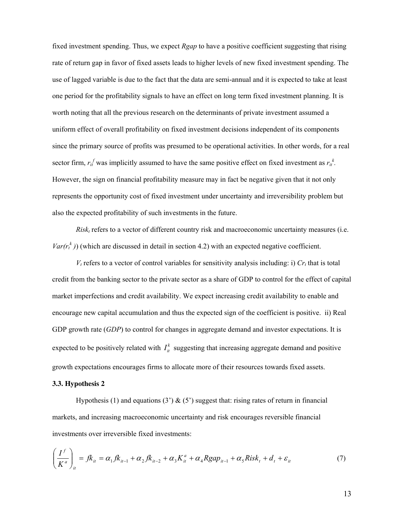fixed investment spending. Thus, we expect *Rgap* to have a positive coefficient suggesting that rising rate of return gap in favor of fixed assets leads to higher levels of new fixed investment spending. The use of lagged variable is due to the fact that the data are semi-annual and it is expected to take at least one period for the profitability signals to have an effect on long term fixed investment planning. It is worth noting that all the previous research on the determinants of private investment assumed a uniform effect of overall profitability on fixed investment decisions independent of its components since the primary source of profits was presumed to be operational activities. In other words, for a real sector firm,  $r_i^f$  was implicitly assumed to have the same positive effect on fixed investment as  $r_i^k$ . However, the sign on financial profitability measure may in fact be negative given that it not only represents the opportunity cost of fixed investment under uncertainty and irreversibility problem but also the expected profitability of such investments in the future.

*Risk<sup>t</sup>* refers to a vector of different country risk and macroeconomic uncertainty measures (i.e.  $Var(r_t^k)$ ) (which are discussed in detail in section 4.2) with an expected negative coefficient.

 $V_t$  refers to a vector of control variables for sensitivity analysis including: i)  $Cr_t$  that is total credit from the banking sector to the private sector as a share of GDP to control for the effect of capital market imperfections and credit availability. We expect increasing credit availability to enable and encourage new capital accumulation and thus the expected sign of the coefficient is positive. ii) Real GDP growth rate (*GDP*) to control for changes in aggregate demand and investor expectations. It is expected to be positively related with  $I_{it}^k$  suggesting that increasing aggregate demand and positive growth expectations encourages firms to allocate more of their resources towards fixed assets.

#### **3.3. Hypothesis 2**

Hypothesis (1) and equations (3')  $\&$  (5') suggest that: rising rates of return in financial markets, and increasing macroeconomic uncertainty and risk encourages reversible financial investments over irreversible fixed investments:

$$
\left(\frac{I^f}{K^a}\right)_{it} = f k_{it} = \alpha_1 f k_{it-1} + \alpha_2 f k_{it-2} + \alpha_3 K^a_{it} + \alpha_4 R g a p_{it-1} + \alpha_5 R i s k_t + d_t + \varepsilon_{it}
$$
\n(7)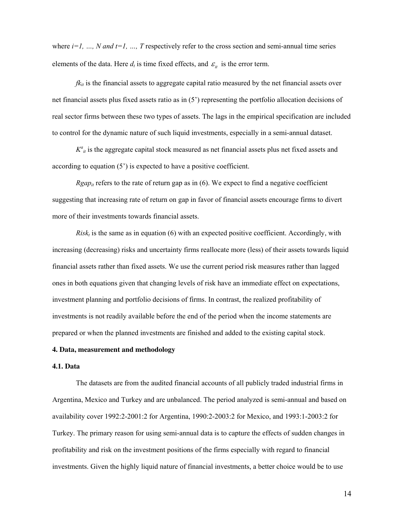where  $i=1, ..., N$  and  $t=1, ..., T$  respectively refer to the cross section and semi-annual time series elements of the data. Here  $d_t$  is time fixed effects, and  $\varepsilon$ <sub>*it*</sub> is the error term.

 $fk<sub>it</sub>$  is the financial assets to aggregate capital ratio measured by the net financial assets over net financial assets plus fixed assets ratio as in (5') representing the portfolio allocation decisions of real sector firms between these two types of assets. The lags in the empirical specification are included to control for the dynamic nature of such liquid investments, especially in a semi-annual dataset.

 $K^a_{i}$  is the aggregate capital stock measured as net financial assets plus net fixed assets and according to equation (5') is expected to have a positive coefficient.

*Rgap<sub>it</sub>* refers to the rate of return gap as in (6). We expect to find a negative coefficient suggesting that increasing rate of return on gap in favor of financial assets encourage firms to divert more of their investments towards financial assets.

 $Risk<sub>t</sub>$  is the same as in equation (6) with an expected positive coefficient. Accordingly, with increasing (decreasing) risks and uncertainty firms reallocate more (less) of their assets towards liquid financial assets rather than fixed assets. We use the current period risk measures rather than lagged ones in both equations given that changing levels of risk have an immediate effect on expectations, investment planning and portfolio decisions of firms. In contrast, the realized profitability of investments is not readily available before the end of the period when the income statements are prepared or when the planned investments are finished and added to the existing capital stock.

# **4. Data, measurement and methodology**

# **4.1. Data**

The datasets are from the audited financial accounts of all publicly traded industrial firms in Argentina, Mexico and Turkey and are unbalanced. The period analyzed is semi-annual and based on availability cover 1992:2-2001:2 for Argentina, 1990:2-2003:2 for Mexico, and 1993:1-2003:2 for Turkey. The primary reason for using semi-annual data is to capture the effects of sudden changes in profitability and risk on the investment positions of the firms especially with regard to financial investments. Given the highly liquid nature of financial investments, a better choice would be to use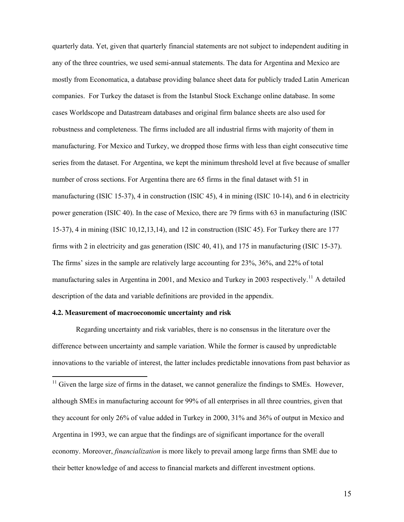<span id="page-15-0"></span>quarterly data. Yet, given that quarterly financial statements are not subject to independent auditing in any of the three countries, we used semi-annual statements. The data for Argentina and Mexico are mostly from Economatica, a database providing balance sheet data for publicly traded Latin American companies. For Turkey the dataset is from the Istanbul Stock Exchange online database. In some cases Worldscope and Datastream databases and original firm balance sheets are also used for robustness and completeness. The firms included are all industrial firms with majority of them in manufacturing. For Mexico and Turkey, we dropped those firms with less than eight consecutive time series from the dataset. For Argentina, we kept the minimum threshold level at five because of smaller number of cross sections. For Argentina there are 65 firms in the final dataset with 51 in manufacturing (ISIC 15-37), 4 in construction (ISIC 45), 4 in mining (ISIC 10-14), and 6 in electricity power generation (ISIC 40). In the case of Mexico, there are 79 firms with 63 in manufacturing (ISIC 15-37), 4 in mining (ISIC 10,12,13,14), and 12 in construction (ISIC 45). For Turkey there are 177 firms with 2 in electricity and gas generation (ISIC 40, 41), and 175 in manufacturing (ISIC 15-37). The firms' sizes in the sample are relatively large accounting for 23%, 36%, and 22% of total manufacturing sales in Argentina in 2001, and Mexico and Turkey in 2003 respectively.<sup>[11](#page-15-0)</sup> A detailed description of the data and variable definitions are provided in the appendix.

#### **4.2. Measurement of macroeconomic uncertainty and risk**

 $\overline{a}$ 

Regarding uncertainty and risk variables, there is no consensus in the literature over the difference between uncertainty and sample variation. While the former is caused by unpredictable innovations to the variable of interest, the latter includes predictable innovations from past behavior as

 $11$  Given the large size of firms in the dataset, we cannot generalize the findings to SMEs. However, although SMEs in manufacturing account for 99% of all enterprises in all three countries, given that they account for only 26% of value added in Turkey in 2000, 31% and 36% of output in Mexico and Argentina in 1993, we can argue that the findings are of significant importance for the overall economy. Moreover, *financialization* is more likely to prevail among large firms than SME due to their better knowledge of and access to financial markets and different investment options.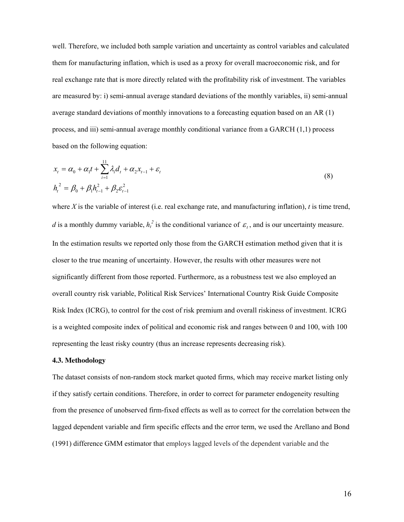well. Therefore, we included both sample variation and uncertainty as control variables and calculated them for manufacturing inflation, which is used as a proxy for overall macroeconomic risk, and for real exchange rate that is more directly related with the profitability risk of investment. The variables are measured by: i) semi-annual average standard deviations of the monthly variables, ii) semi-annual average standard deviations of monthly innovations to a forecasting equation based on an AR (1) process, and iii) semi-annual average monthly conditional variance from a GARCH (1,1) process based on the following equation:

$$
x_{t} = \alpha_{0} + \alpha_{1}t + \sum_{i=1}^{11} \lambda_{i}d_{t} + \alpha_{2}x_{t-1} + \varepsilon_{t}
$$
  
\n
$$
h_{t}^{2} = \beta_{0} + \beta_{1}h_{t-1}^{2} + \beta_{2}\varepsilon_{t-1}^{2}
$$
\n(8)

where *X* is the variable of interest (i.e. real exchange rate, and manufacturing inflation), *t* is time trend, *d* is a monthly dummy variable,  $h_t^2$  is the conditional variance of  $\varepsilon_t$ , and is our uncertainty measure. In the estimation results we reported only those from the GARCH estimation method given that it is closer to the true meaning of uncertainty. However, the results with other measures were not significantly different from those reported. Furthermore, as a robustness test we also employed an overall country risk variable, Political Risk Services' International Country Risk Guide Composite Risk Index (ICRG), to control for the cost of risk premium and overall riskiness of investment. ICRG is a weighted composite index of political and economic risk and ranges between 0 and 100, with 100 representing the least risky country (thus an increase represents decreasing risk).

# **4.3. Methodology**

The dataset consists of non-random stock market quoted firms, which may receive market listing only if they satisfy certain conditions. Therefore, in order to correct for parameter endogeneity resulting from the presence of unobserved firm-fixed effects as well as to correct for the correlation between the lagged dependent variable and firm specific effects and the error term, we used the Arellano and Bond (1991) difference GMM estimator that employs lagged levels of the dependent variable and the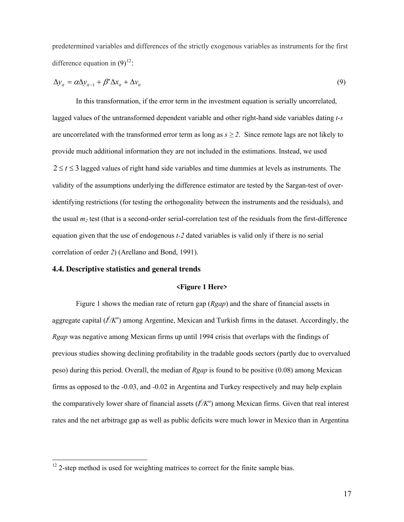<span id="page-17-0"></span>predetermined variables and differences of the strictly exogenous variables as instruments for the first difference equation in  $(9)^{12}$  $(9)^{12}$  $(9)^{12}$ :

$$
\Delta y_{it} = \alpha \Delta y_{it-1} + \beta' \Delta x_{it} + \Delta v_{it}
$$
\n(9)

In this transformation, if the error term in the investment equation is serially uncorrelated, lagged values of the untransformed dependent variable and other right-hand side variables dating *t-s* are uncorrelated with the transformed error term as long as  $s \geq 2$ . Since remote lags are not likely to provide much additional information they are not included in the estimations. Instead, we used  $2 \le t \le 3$  lagged values of right hand side variables and time dummies at levels as instruments. The validity of the assumptions underlying the difference estimator are tested by the Sargan-test of overidentifying restrictions (for testing the orthogonality between the instruments and the residuals), and the usual  $m_2$  test (that is a second-order serial-correlation test of the residuals from the first-difference equation given that the use of endogenous *t-2* dated variables is valid only if there is no serial correlation of order *2*) (Arellano and Bond, 1991).

# **4.4. Descriptive statistics and general trends**

 $\overline{a}$ 

# **<Figure 1 Here>**

Figure 1 shows the median rate of return gap (*Rgap*) and the share of financial assets in aggregate capital ( $I/K^a$ ) among Argentine, Mexican and Turkish firms in the dataset. Accordingly, the *Rgap* was negative among Mexican firms up until 1994 crisis that overlaps with the findings of previous studies showing declining profitability in the tradable goods sectors (partly due to overvalued peso) during this period. Overall, the median of *Rgap* is found to be positive (0.08) among Mexican firms as opposed to the -0.03, and -0.02 in Argentina and Turkey respectively and may help explain the comparatively lower share of financial assets  $(f/K^a)$  among Mexican firms. Given that real interest rates and the net arbitrage gap as well as public deficits were much lower in Mexico than in Argentina

 $12$  2-step method is used for weighting matrices to correct for the finite sample bias.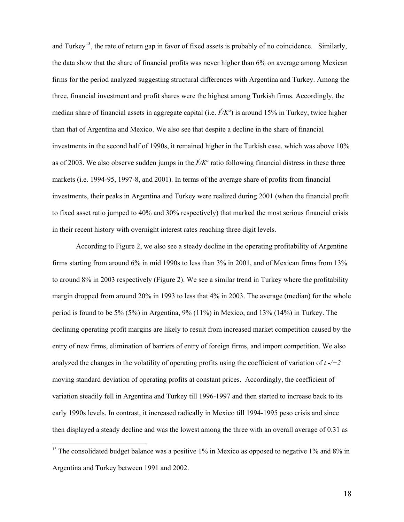<span id="page-18-0"></span>and Turkey<sup>[13](#page-18-0)</sup>, the rate of return gap in favor of fixed assets is probably of no coincidence. Similarly, the data show that the share of financial profits was never higher than 6% on average among Mexican firms for the period analyzed suggesting structural differences with Argentina and Turkey. Among the three, financial investment and profit shares were the highest among Turkish firms. Accordingly, the median share of financial assets in aggregate capital (i.e. *I f /K<sup>a</sup>* ) is around 15% in Turkey, twice higher than that of Argentina and Mexico. We also see that despite a decline in the share of financial investments in the second half of 1990s, it remained higher in the Turkish case, which was above 10% as of 2003. We also observe sudden jumps in the  $I/K^a$  ratio following financial distress in these three markets (i.e. 1994-95, 1997-8, and 2001). In terms of the average share of profits from financial investments, their peaks in Argentina and Turkey were realized during 2001 (when the financial profit to fixed asset ratio jumped to 40% and 30% respectively) that marked the most serious financial crisis in their recent history with overnight interest rates reaching three digit levels.

According to Figure 2, we also see a steady decline in the operating profitability of Argentine firms starting from around 6% in mid 1990s to less than 3% in 2001, and of Mexican firms from 13% to around 8% in 2003 respectively (Figure 2). We see a similar trend in Turkey where the profitability margin dropped from around 20% in 1993 to less that 4% in 2003. The average (median) for the whole period is found to be 5% (5%) in Argentina, 9% (11%) in Mexico, and 13% (14%) in Turkey. The declining operating profit margins are likely to result from increased market competition caused by the entry of new firms, elimination of barriers of entry of foreign firms, and import competition. We also analyzed the changes in the volatility of operating profits using the coefficient of variation of  $t<sub>1</sub>$  -/+2 moving standard deviation of operating profits at constant prices. Accordingly, the coefficient of variation steadily fell in Argentina and Turkey till 1996-1997 and then started to increase back to its early 1990s levels. In contrast, it increased radically in Mexico till 1994-1995 peso crisis and since then displayed a steady decline and was the lowest among the three with an overall average of 0.31 as

 $\overline{a}$ 

<sup>&</sup>lt;sup>13</sup> The consolidated budget balance was a positive  $1\%$  in Mexico as opposed to negative  $1\%$  and  $8\%$  in Argentina and Turkey between 1991 and 2002.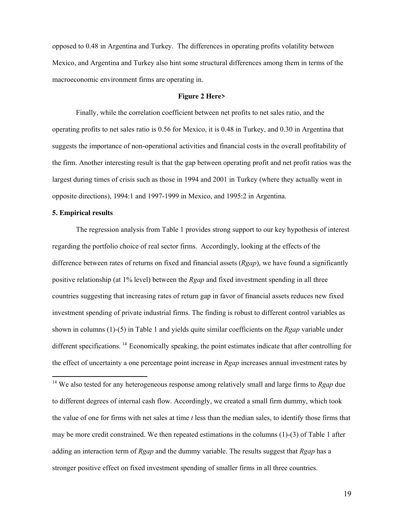<span id="page-19-0"></span>opposed to 0.48 in Argentina and Turkey. The differences in operating profits volatility between Mexico, and Argentina and Turkey also hint some structural differences among them in terms of the macroeconomic environment firms are operating in.

#### **Figure 2 Here>**

Finally, while the correlation coefficient between net profits to net sales ratio, and the operating profits to net sales ratio is 0.56 for Mexico, it is 0.48 in Turkey, and 0.30 in Argentina that suggests the importance of non-operational activities and financial costs in the overall profitability of the firm. Another interesting result is that the gap between operating profit and net profit ratios was the largest during times of crisis such as those in 1994 and 2001 in Turkey (where they actually went in opposite directions), 1994:1 and 1997-1999 in Mexico, and 1995:2 in Argentina.

#### **5. Empirical results**

 $\overline{a}$ 

The regression analysis from Table 1 provides strong support to our key hypothesis of interest regarding the portfolio choice of real sector firms. Accordingly, looking at the effects of the difference between rates of returns on fixed and financial assets (*Rgap*), we have found a significantly positive relationship (at 1% level) between the *Rgap* and fixed investment spending in all three countries suggesting that increasing rates of return gap in favor of financial assets reduces new fixed investment spending of private industrial firms. The finding is robust to different control variables as shown in columns (1)-(5) in Table 1 and yields quite similar coefficients on the *Rgap* variable under different specifications. <sup>[14](#page-19-0)</sup> Economically speaking, the point estimates indicate that after controlling for the effect of uncertainty a one percentage point increase in *Rgap* increases annual investment rates by

<sup>14</sup> We also tested for any heterogeneous response among relatively small and large firms to *Rgap* due to different degrees of internal cash flow. Accordingly, we created a small firm dummy, which took the value of one for firms with net sales at time *t* less than the median sales, to identify those firms that may be more credit constrained. We then repeated estimations in the columns (1)-(3) of Table 1 after adding an interaction term of *Rgap* and the dummy variable. The results suggest that *Rgap* has a stronger positive effect on fixed investment spending of smaller firms in all three countries.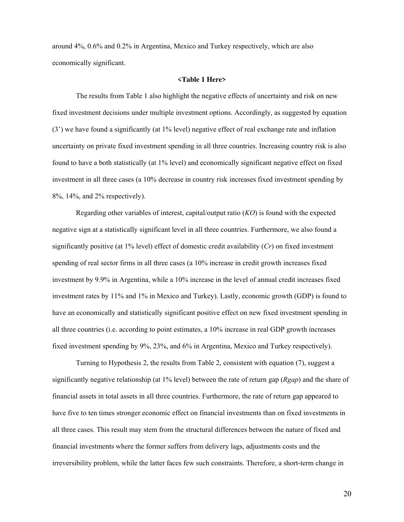around 4%, 0.6% and 0.2% in Argentina, Mexico and Turkey respectively, which are also economically significant.

# **<Table 1 Here>**

The results from Table 1 also highlight the negative effects of uncertainty and risk on new fixed investment decisions under multiple investment options. Accordingly, as suggested by equation (3') we have found a significantly (at 1% level) negative effect of real exchange rate and inflation uncertainty on private fixed investment spending in all three countries. Increasing country risk is also found to have a both statistically (at 1% level) and economically significant negative effect on fixed investment in all three cases (a 10% decrease in country risk increases fixed investment spending by 8%, 14%, and 2% respectively).

Regarding other variables of interest, capital/output ratio (*KO*) is found with the expected negative sign at a statistically significant level in all three countries. Furthermore, we also found a significantly positive (at 1% level) effect of domestic credit availability (*Cr*) on fixed investment spending of real sector firms in all three cases (a 10% increase in credit growth increases fixed investment by 9.9% in Argentina, while a 10% increase in the level of annual credit increases fixed investment rates by 11% and 1% in Mexico and Turkey). Lastly, economic growth (GDP) is found to have an economically and statistically significant positive effect on new fixed investment spending in all three countries (i.e. according to point estimates, a 10% increase in real GDP growth increases fixed investment spending by 9%, 23%, and 6% in Argentina, Mexico and Turkey respectively).

Turning to Hypothesis 2, the results from Table 2, consistent with equation (7), suggest a significantly negative relationship (at 1% level) between the rate of return gap (*Rgap*) and the share of financial assets in total assets in all three countries. Furthermore, the rate of return gap appeared to have five to ten times stronger economic effect on financial investments than on fixed investments in all three cases. This result may stem from the structural differences between the nature of fixed and financial investments where the former suffers from delivery lags, adjustments costs and the irreversibility problem, while the latter faces few such constraints. Therefore, a short-term change in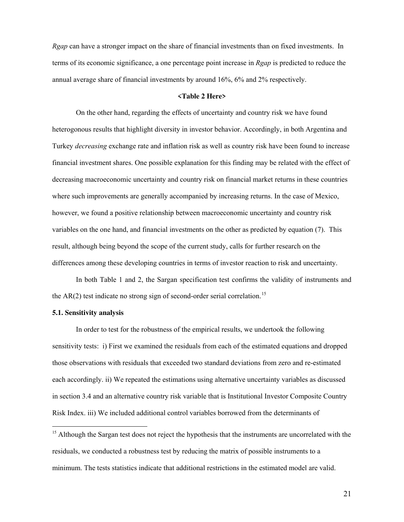<span id="page-21-0"></span>*Rgap* can have a stronger impact on the share of financial investments than on fixed investments. In terms of its economic significance, a one percentage point increase in *Rgap* is predicted to reduce the annual average share of financial investments by around 16%, 6% and 2% respectively.

#### **<Table 2 Here>**

On the other hand, regarding the effects of uncertainty and country risk we have found heterogonous results that highlight diversity in investor behavior. Accordingly, in both Argentina and Turkey *decreasing* exchange rate and inflation risk as well as country risk have been found to increase financial investment shares. One possible explanation for this finding may be related with the effect of decreasing macroeconomic uncertainty and country risk on financial market returns in these countries where such improvements are generally accompanied by increasing returns. In the case of Mexico, however, we found a positive relationship between macroeconomic uncertainty and country risk variables on the one hand, and financial investments on the other as predicted by equation (7). This result, although being beyond the scope of the current study, calls for further research on the differences among these developing countries in terms of investor reaction to risk and uncertainty.

In both Table 1 and 2, the Sargan specification test confirms the validity of instruments and the  $AR(2)$  test indicate no strong sign of second-order serial correlation.<sup>[15](#page-21-0)</sup>

#### **5.1. Sensitivity analysis**

 $\overline{a}$ 

In order to test for the robustness of the empirical results, we undertook the following sensitivity tests: i) First we examined the residuals from each of the estimated equations and dropped those observations with residuals that exceeded two standard deviations from zero and re-estimated each accordingly. ii) We repeated the estimations using alternative uncertainty variables as discussed in section 3.4 and an alternative country risk variable that is Institutional Investor Composite Country Risk Index. iii) We included additional control variables borrowed from the determinants of

<sup>&</sup>lt;sup>15</sup> Although the Sargan test does not reject the hypothesis that the instruments are uncorrelated with the residuals, we conducted a robustness test by reducing the matrix of possible instruments to a minimum. The tests statistics indicate that additional restrictions in the estimated model are valid.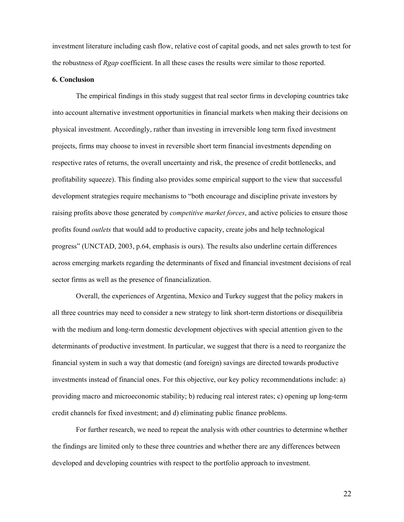investment literature including cash flow, relative cost of capital goods, and net sales growth to test for the robustness of *Rgap* coefficient. In all these cases the results were similar to those reported.

# **6. Conclusion**

The empirical findings in this study suggest that real sector firms in developing countries take into account alternative investment opportunities in financial markets when making their decisions on physical investment. Accordingly, rather than investing in irreversible long term fixed investment projects, firms may choose to invest in reversible short term financial investments depending on respective rates of returns, the overall uncertainty and risk, the presence of credit bottlenecks, and profitability squeeze). This finding also provides some empirical support to the view that successful development strategies require mechanisms to "both encourage and discipline private investors by raising profits above those generated by *competitive market forces*, and active policies to ensure those profits found *outlets* that would add to productive capacity, create jobs and help technological progress" (UNCTAD, 2003, p.64, emphasis is ours). The results also underline certain differences across emerging markets regarding the determinants of fixed and financial investment decisions of real sector firms as well as the presence of financialization.

Overall, the experiences of Argentina, Mexico and Turkey suggest that the policy makers in all three countries may need to consider a new strategy to link short-term distortions or disequilibria with the medium and long-term domestic development objectives with special attention given to the determinants of productive investment. In particular, we suggest that there is a need to reorganize the financial system in such a way that domestic (and foreign) savings are directed towards productive investments instead of financial ones. For this objective, our key policy recommendations include: a) providing macro and microeconomic stability; b) reducing real interest rates; c) opening up long-term credit channels for fixed investment; and d) eliminating public finance problems.

For further research, we need to repeat the analysis with other countries to determine whether the findings are limited only to these three countries and whether there are any differences between developed and developing countries with respect to the portfolio approach to investment.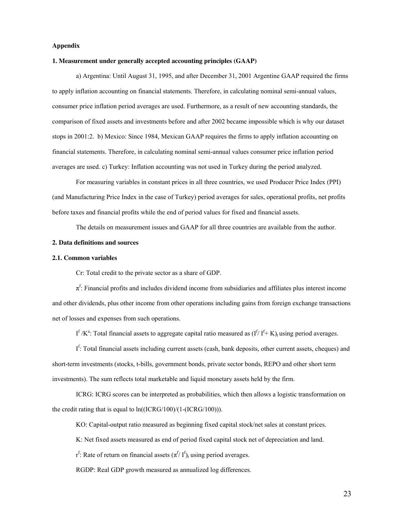#### **Appendix**

#### **1. Measurement under generally accepted accounting principles (GAAP)**

a) Argentina: Until August 31, 1995, and after December 31, 2001 Argentine GAAP required the firms to apply inflation accounting on financial statements. Therefore, in calculating nominal semi-annual values, consumer price inflation period averages are used. Furthermore, as a result of new accounting standards, the comparison of fixed assets and investments before and after 2002 became impossible which is why our dataset stops in 2001:2. b) Mexico: Since 1984, Mexican GAAP requires the firms to apply inflation accounting on financial statements. Therefore, in calculating nominal semi-annual values consumer price inflation period averages are used. c) Turkey: Inflation accounting was not used in Turkey during the period analyzed.

For measuring variables in constant prices in all three countries, we used Producer Price Index (PPI) (and Manufacturing Price Index in the case of Turkey) period averages for sales, operational profits, net profits before taxes and financial profits while the end of period values for fixed and financial assets.

The details on measurement issues and GAAP for all three countries are available from the author.

#### **2. Data definitions and sources**

#### **2.1. Common variables**

Cr: Total credit to the private sector as a share of GDP.

 $\pi^f$ : Financial profits and includes dividend income from subsidiaries and affiliates plus interest income and other dividends, plus other income from other operations including gains from foreign exchange transactions net of losses and expenses from such operations.

I<sup>f</sup> /K<sup>a</sup>: Total financial assets to aggregate capital ratio measured as  $(I^f/I^f + K)_t$  using period averages.

If: Total financial assets including current assets (cash, bank deposits, other current assets, cheques) and short-term investments (stocks, t-bills, government bonds, private sector bonds, REPO and other short term investments). The sum reflects total marketable and liquid monetary assets held by the firm.

ICRG: ICRG scores can be interpreted as probabilities, which then allows a logistic transformation on the credit rating that is equal to ln((ICRG/100)/(1-(ICRG/100))).

KO: Capital-output ratio measured as beginning fixed capital stock/net sales at constant prices.

K: Net fixed assets measured as end of period fixed capital stock net of depreciation and land.

 $r^f$ : Rate of return on financial assets  $(\pi^{f}/I^f)$ <sub>t</sub> using period averages.

RGDP: Real GDP growth measured as annualized log differences.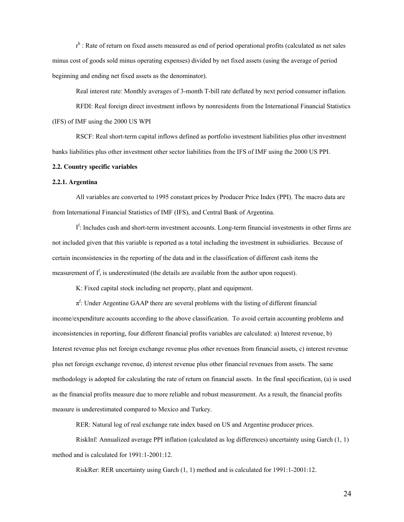r<sup>k</sup> : Rate of return on fixed assets measured as end of period operational profits (calculated as net sales minus cost of goods sold minus operating expenses) divided by net fixed assets (using the average of period beginning and ending net fixed assets as the denominator).

Real interest rate: Monthly averages of 3-month T-bill rate deflated by next period consumer inflation.

RFDI: Real foreign direct investment inflows by nonresidents from the International Financial Statistics (IFS) of IMF using the 2000 US WPI

RSCF: Real short-term capital inflows defined as portfolio investment liabilities plus other investment banks liabilities plus other investment other sector liabilities from the IFS of IMF using the 2000 US PPI.

#### **2.2. Country specific variables**

#### **2.2.1. Argentina**

All variables are converted to 1995 constant prices by Producer Price Index (PPI). The macro data are from International Financial Statistics of IMF (IFS), and Central Bank of Argentina.

If: Includes cash and short-term investment accounts. Long-term financial investments in other firms are not included given that this variable is reported as a total including the investment in subsidiaries. Because of certain inconsistencies in the reporting of the data and in the classification of different cash items the measurement of  $I_t^f$  is underestimated (the details are available from the author upon request).

K: Fixed capital stock including net property, plant and equipment.

 $\pi^f$ : Under Argentine GAAP there are several problems with the listing of different financial income/expenditure accounts according to the above classification. To avoid certain accounting problems and inconsistencies in reporting, four different financial profits variables are calculated: a) Interest revenue, b) Interest revenue plus net foreign exchange revenue plus other revenues from financial assets, c) interest revenue plus net foreign exchange revenue, d) interest revenue plus other financial revenues from assets. The same methodology is adopted for calculating the rate of return on financial assets. In the final specification, (a) is used as the financial profits measure due to more reliable and robust measurement. As a result, the financial profits measure is underestimated compared to Mexico and Turkey.

RER: Natural log of real exchange rate index based on US and Argentine producer prices.

RiskInf: Annualized average PPI inflation (calculated as log differences) uncertainty using Garch (1, 1) method and is calculated for 1991:1-2001:12.

RiskRer: RER uncertainty using Garch (1, 1) method and is calculated for 1991:1-2001:12.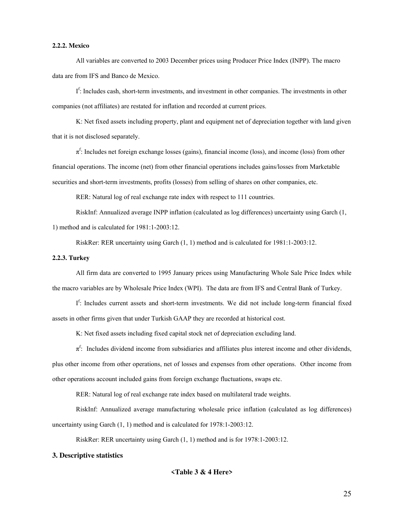#### **2.2.2. Mexico**

All variables are converted to 2003 December prices using Producer Price Index (INPP). The macro data are from IFS and Banco de Mexico.

I<sup>f</sup>: Includes cash, short-term investments, and investment in other companies. The investments in other companies (not affiliates) are restated for inflation and recorded at current prices.

K: Net fixed assets including property, plant and equipment net of depreciation together with land given that it is not disclosed separately.

 $\pi^f$ : Includes net foreign exchange losses (gains), financial income (loss), and income (loss) from other financial operations. The income (net) from other financial operations includes gains/losses from Marketable securities and short-term investments, profits (losses) from selling of shares on other companies, etc.

RER: Natural log of real exchange rate index with respect to 111 countries.

RiskInf: Annualized average INPP inflation (calculated as log differences) uncertainty using Garch (1, 1) method and is calculated for 1981:1-2003:12.

RiskRer: RER uncertainty using Garch (1, 1) method and is calculated for 1981:1-2003:12.

#### **2.2.3. Turkey**

All firm data are converted to 1995 January prices using Manufacturing Whole Sale Price Index while the macro variables are by Wholesale Price Index (WPI). The data are from IFS and Central Bank of Turkey.

If: Includes current assets and short-term investments. We did not include long-term financial fixed assets in other firms given that under Turkish GAAP they are recorded at historical cost.

K: Net fixed assets including fixed capital stock net of depreciation excluding land.

 $\pi^f$ : Includes dividend income from subsidiaries and affiliates plus interest income and other dividends, plus other income from other operations, net of losses and expenses from other operations. Other income from other operations account included gains from foreign exchange fluctuations, swaps etc.

RER: Natural log of real exchange rate index based on multilateral trade weights.

RiskInf: Annualized average manufacturing wholesale price inflation (calculated as log differences) uncertainty using Garch (1, 1) method and is calculated for 1978:1-2003:12.

RiskRer: RER uncertainty using Garch (1, 1) method and is for 1978:1-2003:12.

#### **3. Descriptive statistics**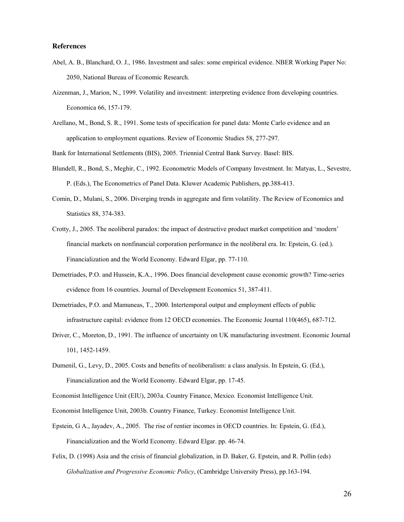#### **References**

- Abel, A. B., Blanchard, O. J., 1986. Investment and sales: some empirical evidence. NBER Working Paper No: 2050, National Bureau of Economic Research.
- Aizenman, J., Marion, N., 1999. Volatility and investment: interpreting evidence from developing countries. Economica 66, 157-179.
- Arellano, M., Bond, S. R., 1991. Some tests of specification for panel data: Monte Carlo evidence and an application to employment equations. Review of Economic Studies 58, 277-297.

Bank for International Settlements (BIS), 2005. Triennial Central Bank Survey. Basel: BIS.

- Blundell, R., Bond, S., Meghir, C., 1992. Econometric Models of Company Investment. In: Matyas, L., Sevestre, P. (Eds.), The Econometrics of Panel Data. Kluwer Academic Publishers, pp.388-413.
- Comin, D., Mulani, S., 2006. Diverging trends in aggregate and firm volatility. The Review of Economics and Statistics 88, 374-383.
- Crotty, J., 2005. The neoliberal paradox: the impact of destructive product market competition and 'modern' financial markets on nonfinancial corporation performance in the neoliberal era. In: Epstein, G. (ed.). Financialization and the World Economy. Edward Elgar, pp. 77-110.
- Demetriades, P.O. and Hussein, K.A., 1996. Does financial development cause economic growth? Time-series evidence from 16 countries. Journal of Development Economics 51, 387-411.
- Demetriades, P.O. and Mamuneas, T., 2000. Intertemporal output and employment effects of public infrastructure capital: evidence from 12 OECD economies. The Economic Journal 110(465), 687-712.
- Driver, C., Moreton, D., 1991. The influence of uncertainty on UK manufacturing investment. Economic Journal 101, 1452-1459.
- Dumenil, G., Levy, D., 2005. Costs and benefits of neoliberalism: a class analysis. In Epstein, G. (Ed.), Financialization and the World Economy. Edward Elgar, pp. 17-45.

- Economist Intelligence Unit, 2003b. Country Finance, Turkey. Economist Intelligence Unit.
- Epstein, G A., Jayadev, A., 2005. The rise of rentier incomes in OECD countries. In: Epstein, G. (Ed.), Financialization and the World Economy. Edward Elgar. pp. 46-74.
- Felix, D. (1998) Asia and the crisis of financial globalization, in D. Baker, G. Epstein, and R. Pollin (eds) *Globalization and Progressive Economic Policy*, (Cambridge University Press), pp.163-194.

Economist Intelligence Unit (EIU), 2003a. Country Finance, Mexico*.* Economist Intelligence Unit.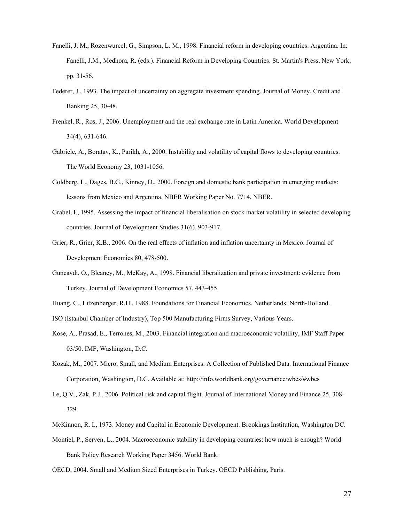- Fanelli, J. M., Rozenwurcel, G., Simpson, L. M., 1998. Financial reform in developing countries: Argentina. In: Fanelli, J.M., Medhora, R. (eds.). Financial Reform in Developing Countries. St. Martin's Press, New York, pp. 31-56.
- Federer, J., 1993. The impact of uncertainty on aggregate investment spending. Journal of Money, Credit and Banking 25, 30-48.
- Frenkel, R., Ros, J., 2006. Unemployment and the real exchange rate in Latin America. World Development 34(4), 631-646.
- Gabriele, A., Boratav, K., Parikh, A., 2000. Instability and volatility of capital flows to developing countries. The World Economy 23, 1031-1056.
- Goldberg, L., Dages, B.G., Kinney, D., 2000. Foreign and domestic bank participation in emerging markets: lessons from Mexico and Argentina. NBER Working Paper No. 7714, NBER.
- Grabel, I., 1995. Assessing the impact of financial liberalisation on stock market volatility in selected developing countries. Journal of Development Studies 31(6), 903-917.
- Grier, R., Grier, K.B., 2006. On the real effects of inflation and inflation uncertainty in Mexico. Journal of Development Economics 80, 478-500.
- Guncavdi, O., Bleaney, M., McKay, A., 1998. Financial liberalization and private investment: evidence from Turkey. Journal of Development Economics 57, 443-455.
- Huang, C., Litzenberger, R.H., 1988. Foundations for Financial Economics. Netherlands: North-Holland.
- ISO (Istanbul Chamber of Industry), Top 500 Manufacturing Firms Survey, Various Years.
- Kose, A., Prasad, E., Terrones, M., 2003. Financial integration and macroeconomic volatility, IMF Staff Paper 03/50. IMF, Washington, D.C.
- Kozak, M., 2007. Micro, Small, and Medium Enterprises: A Collection of Published Data. International Finance Corporation, Washington, D.C. Available at: http://info.worldbank.org/governance/wbes/#wbes
- Le, Q.V., Zak, P.J., 2006. Political risk and capital flight. Journal of International Money and Finance 25, 308- 329.
- McKinnon, R. I., 1973. Money and Capital in Economic Development. Brookings Institution, Washington DC.
- Montiel, P., Serven, L., 2004. Macroeconomic stability in developing countries: how much is enough? World Bank Policy Research Working Paper 3456. World Bank.
- OECD, 2004. Small and Medium Sized Enterprises in Turkey. OECD Publishing, Paris.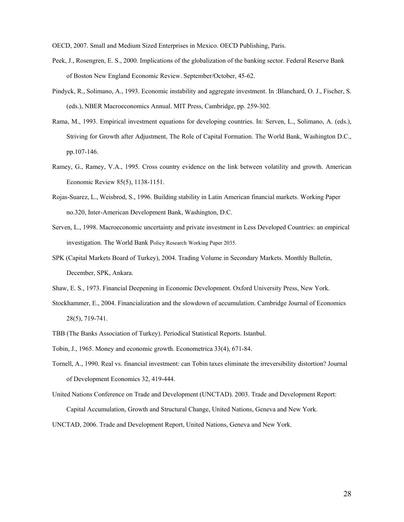OECD, 2007. Small and Medium Sized Enterprises in Mexico. OECD Publishing, Paris.

- Peek, J., Rosengren, E. S., 2000. Implications of the globalization of the banking sector. Federal Reserve Bank of Boston New England Economic Review. September/October, 45-62.
- Pindyck, R., Solimano, A., 1993. Economic instability and aggregate investment. In :Blanchard, O. J., Fischer, S. (eds.), NBER Macroeconomics Annual. MIT Press, Cambridge, pp. 259-302.
- Rama, M., 1993. Empirical investment equations for developing countries. In: Serven, L., Solimano, A. (eds.), Striving for Growth after Adjustment, The Role of Capital Formation. The World Bank, Washington D.C., pp.107-146.
- Ramey, G., Ramey, V.A., 1995. Cross country evidence on the link between volatility and growth. American Economic Review 85(5), 1138-1151.
- Rojas-Suarez, L., Weisbrod, S., 1996. Building stability in Latin American financial markets. Working Paper no.320, Inter-American Development Bank, Washington, D.C.
- Serven, L., 1998. Macroeconomic uncertainty and private investment in Less Developed Countries: an empirical investigation. The World Bank Policy Research Working Paper 2035.
- SPK (Capital Markets Board of Turkey), 2004. Trading Volume in Secondary Markets. Monthly Bulletin, December, SPK, Ankara.
- Shaw, E. S., 1973. Financial Deepening in Economic Development. Oxford University Press, New York.
- Stockhammer, E., 2004. Financialization and the slowdown of accumulation. Cambridge Journal of Economics 28(5), 719-741.
- TBB (The Banks Association of Turkey). Periodical Statistical Reports. Istanbul.
- Tobin, J., 1965. Money and economic growth. Econometrica 33(4), 671-84.
- Tornell, A., 1990. Real vs. financial investment: can Tobin taxes eliminate the irreversibility distortion? Journal of Development Economics 32, 419-444.
- United Nations Conference on Trade and Development (UNCTAD). 2003. Trade and Development Report: Capital Accumulation, Growth and Structural Change, United Nations, Geneva and New York.

UNCTAD, 2006. Trade and Development Report, United Nations, Geneva and New York.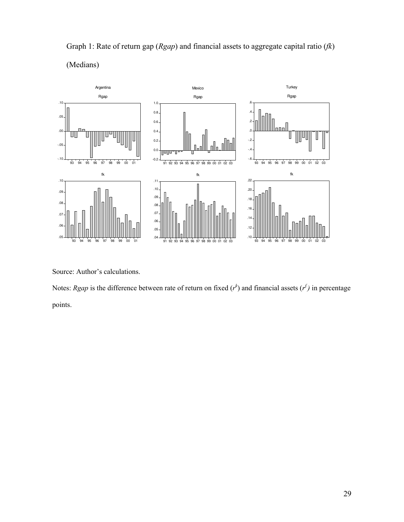

Graph 1: Rate of return gap (*Rgap*) and financial assets to aggregate capital ratio (*fk*) (Medians)

Source: Author's calculations.

Notes: *Rgap* is the difference between rate of return on fixed  $(r<sup>k</sup>)$  and financial assets  $(r<sup>f</sup>)$  in percentage points.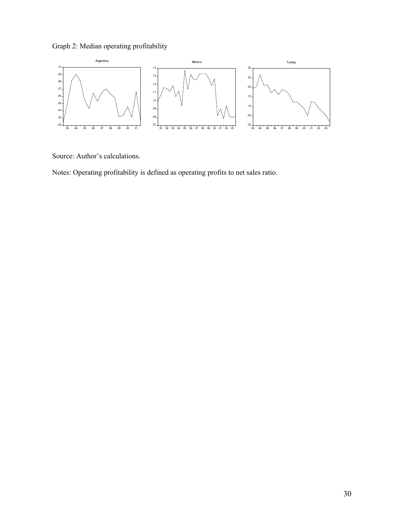Graph 2: Median operating profitability



Source: Author's calculations.

Notes: Operating profitability is defined as operating profits to net sales ratio.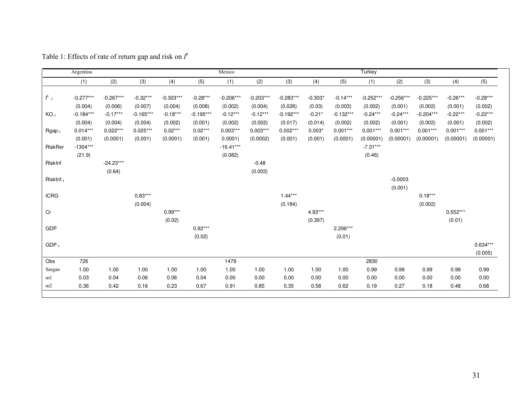|                       | Argentina   |             |             |             |             | Mexico      |             |             |           |             | Turkey      |             |             |            |            |
|-----------------------|-------------|-------------|-------------|-------------|-------------|-------------|-------------|-------------|-----------|-------------|-------------|-------------|-------------|------------|------------|
|                       | (1)         | (2)         | (3)         | (4)         | (5)         | (1)         | (2)         | (3)         | (4)       | (5)         | (1)         | (2)         | (3)         | (4)        | (5)        |
|                       |             |             |             |             |             |             |             |             |           |             |             |             |             |            |            |
| $I^k_{-1}$            | $-0.277***$ | $-0.267***$ | $-0.32***$  | $-0.303***$ | $-0.28***$  | $-0.206***$ | $-0.203***$ | $-0.283***$ | $-0.303*$ | $-0.14***$  | $-0.252***$ | $-0.256***$ | $-0.225***$ | $-0.26***$ | $-0.28***$ |
|                       | (0.004)     | (0.006)     | (0.007)     | (0.004)     | (0.008)     | (0.002)     | (0.004)     | (0.026)     | (0.03)    | (0.003)     | (0.002)     | (0.001)     | (0.002)     | (0.001)    | (0.002)    |
| $KO-1$                | $-0.184***$ | $-0.17***$  | $-0.165***$ | $-0.18***$  | $-0.195***$ | $-0.12***$  | $-0.12***$  | $-0.192***$ | $-0.21*$  | $-0.132***$ | $-0.24***$  | $-0.24***$  | $-0.204***$ | $-0.22***$ | $-0.22***$ |
|                       | (0.004)     | (0.004)     | (0.004)     | (0.002)     | (0.001)     | (0.002)     | (0.002)     | (0.017)     | (0.014)   | (0.002)     | (0.002)     | (0.001)     | (0.002)     | (0.001)    | (0.002)    |
| $Rgap_{-1}$           | $0.014***$  | $0.022***$  | $0.025***$  | $0.02***$   | $0.02***$   | $0.003***$  | $0.003***$  | $0.002***$  | $0.003*$  | $0.001***$  | $0.001***$  | $0.001***$  | $0.001***$  | $0.001***$ | $0.001***$ |
|                       | (0.001)     | (0.0001)    | (0.001)     | (0.0001)    | (0.001)     | 0.0001)     | (0.0002)    | (0.001)     | (0.001)   | (0.0001)    | (0.00001)   | (0.00001)   | (0.00001)   | (0.00001)  | (0.00001)  |
| RiskRer               | $-1304***$  |             |             |             |             | $-16.41***$ |             |             |           |             | $-7.31***$  |             |             |            |            |
|                       | (21.9)      |             |             |             |             | (0.082)     |             |             |           |             | (0.46)      |             |             |            |            |
| RiskInf               |             | $-24.23***$ |             |             |             |             | $-0.48$     |             |           |             |             |             |             |            |            |
|                       |             | (0.64)      |             |             |             |             | (0.003)     |             |           |             |             |             |             |            |            |
| RiskInf <sub>-1</sub> |             |             |             |             |             |             |             |             |           |             |             | $-0.0003$   |             |            |            |
|                       |             |             |             |             |             |             |             |             |           |             |             | (0.001)     |             |            |            |
| <b>ICRG</b>           |             |             | $0.83***$   |             |             |             |             | $1.44***$   |           |             |             |             | $0.18***$   |            |            |
|                       |             |             | (0.004)     |             |             |             |             | (0.184)     |           |             |             |             | (0.002)     |            |            |
| Cr                    |             |             |             | $0.99***$   |             |             |             |             | 4.93***   |             |             |             |             | $0.552***$ |            |
|                       |             |             |             | (0.02)      |             |             |             |             | (0.397)   |             |             |             |             | (0.01)     |            |
| GDP                   |             |             |             |             | $0.92***$   |             |             |             |           | 2.296***    |             |             |             |            |            |
|                       |             |             |             |             | (0.02)      |             |             |             |           | (0.01)      |             |             |             |            |            |
| $GDP_{-1}$            |             |             |             |             |             |             |             |             |           |             |             |             |             |            | $0.634***$ |
|                       |             |             |             |             |             |             |             |             |           |             |             |             |             |            | (0.005)    |
| Obs                   | 726         |             |             |             |             | 1479        |             |             |           |             | 2830        |             |             |            |            |
| Sargan                | 1.00        | 1.00        | 1.00        | 1.00        | 1.00        | 1.00        | 1.00        | 1.00        | 1.00      | 1.00        | 0.99        | 0.99        | 0.99        | 0.99       | 0.99       |
| m1                    | 0.03        | 0.04        | 0.06        | 0.06        | 0.04        | 0.00        | 0.00        | 0.00        | 0.00      | 0.00        | 0.00        | 0.00        | 0.00        | 0.00       | 0.00       |
| m2                    | 0.36        | 0.42        | 0.16        | 0.23        | 0.67        | 0.91        | 0.85        | 0.35        | 0.58      | 0.62        | 0.19        | 0.27        | 0.18        | 0.48       | 0.68       |

Table 1: Effects of rate of return gap and risk on  $I^k$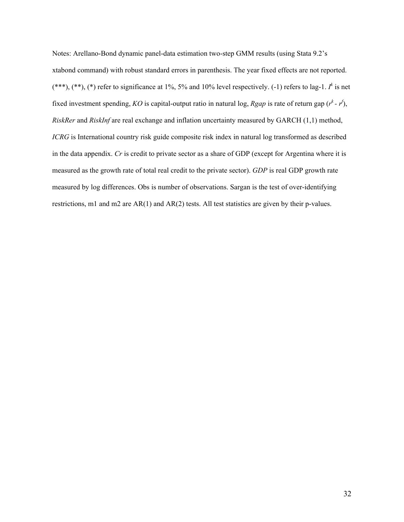Notes: Arellano-Bond dynamic panel-data estimation two-step GMM results (using Stata 9.2's xtabond command) with robust standard errors in parenthesis. The year fixed effects are not reported.  $(***)$ ,  $(**)$ ,  $(*)$  refer to significance at 1%, 5% and 10% level respectively.  $(-1)$  refers to lag-1.  $I^k$  is net fixed investment spending, *KO* is capital-output ratio in natural log, *Rgap* is rate of return gap  $(r^k - r^k)$ , *RiskRer* and *RiskInf* are real exchange and inflation uncertainty measured by GARCH (1,1) method, *ICRG* is International country risk guide composite risk index in natural log transformed as described in the data appendix. *Cr* is credit to private sector as a share of GDP (except for Argentina where it is measured as the growth rate of total real credit to the private sector). *GDP* is real GDP growth rate measured by log differences. Obs is number of observations. Sargan is the test of over-identifying restrictions, m1 and m2 are AR(1) and AR(2) tests. All test statistics are given by their p-values.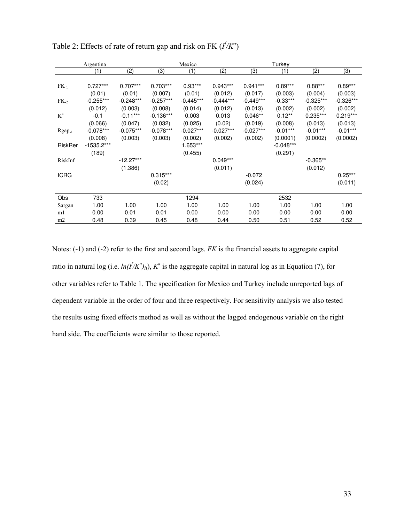|                 | Argentina    |             | Mexico      |             |             | Turkey      |             |             |             |
|-----------------|--------------|-------------|-------------|-------------|-------------|-------------|-------------|-------------|-------------|
|                 | (1)          | (2)         | (3)         | (1)         | (2)         | (3)         | (1)         | (2)         | (3)         |
|                 |              |             |             |             |             |             |             |             |             |
| $FK_{-1}$       | $0.727***$   | $0.707***$  | $0.703***$  | $0.93***$   | $0.943***$  | $0.941***$  | $0.89***$   | $0.88***$   | $0.89***$   |
|                 | (0.01)       | (0.01)      | (0.007)     | (0.01)      | (0.012)     | (0.017)     | (0.003)     | (0.004)     | (0.003)     |
| FK <sub>2</sub> | $-0.255***$  | $-0.248***$ | $-0.257***$ | $-0.445***$ | $-0.444***$ | $-0.449***$ | $-0.33***$  | $-0.325***$ | $-0.326***$ |
|                 | (0.012)      | (0.003)     | (0.008)     | (0.014)     | (0.012)     | (0.013)     | (0.002)     | (0.002)     | (0.002)     |
| $K^a$           | $-0.1$       | $-0.11***$  | $-0.136***$ | 0.003       | 0.013       | $0.046**$   | $0.12**$    | $0.235***$  | $0.219***$  |
|                 | (0.066)      | (0.047)     | (0.032)     | (0.025)     | (0.02)      | (0.019)     | (0.008)     | (0.013)     | (0.013)     |
| $Rgap_{-1}$     | $-0.078***$  | $-0.075***$ | $-0.078***$ | $-0.027***$ | $-0.027***$ | $-0.027***$ | $-0.01***$  | $-0.01***$  | $-0.01***$  |
|                 | (0.008)      | (0.003)     | (0.003)     | (0.002)     | (0.002)     | (0.002)     | (0.0001)    | (0.0002)    | (0.0002)    |
| RiskRer         | $-1535.2***$ |             |             | 1.653***    |             |             | $-0.048***$ |             |             |
|                 | (189)        |             |             | (0.455)     |             |             | (0.291)     |             |             |
| RiskInf         |              | $-12.27***$ |             |             | $0.049***$  |             |             | $-0.365**$  |             |
|                 |              | (1.386)     |             |             | (0.011)     |             |             | (0.012)     |             |
| <b>ICRG</b>     |              |             | $0.315***$  |             |             | $-0.072$    |             |             | $0.25***$   |
|                 |              |             | (0.02)      |             |             | (0.024)     |             |             | (0.011)     |
|                 |              |             |             |             |             |             |             |             |             |
| Obs             | 733          |             |             | 1294        |             |             | 2532        |             |             |
| Sargan          | 1.00         | 1.00        | 1.00        | 1.00        | 1.00        | 1.00        | 1.00        | 1.00        | 1.00        |
| m1              | 0.00         | 0.01        | 0.01        | 0.00        | 0.00        | 0.00        | 0.00        | 0.00        | 0.00        |
| m2              | 0.48         | 0.39        | 0.45        | 0.48        | 0.44        | 0.50        | 0.51        | 0.52        | 0.52        |

Table 2: Effects of rate of return gap and risk on FK  $(f/K^a)$ 

Notes: (-1) and (-2) refer to the first and second lags. *FK* is the financial assets to aggregate capital ratio in natural log (i.e.  $ln(f/K^a)_{it}$ ),  $K^a$  is the aggregate capital in natural log as in Equation (7), for other variables refer to Table 1. The specification for Mexico and Turkey include unreported lags of dependent variable in the order of four and three respectively. For sensitivity analysis we also tested the results using fixed effects method as well as without the lagged endogenous variable on the right hand side. The coefficients were similar to those reported.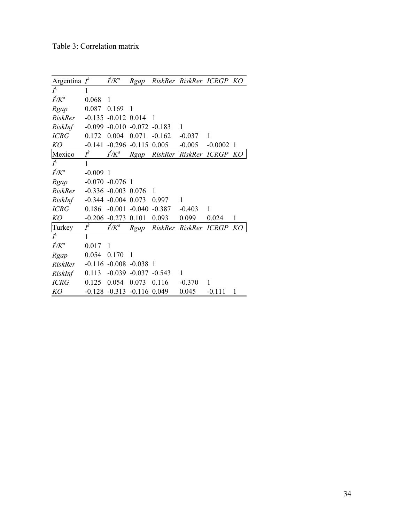| Argentina $I^k$ |          | $f/K^a$                                                                      | Rgap     |                | RiskRer RiskRer ICRGP |           | KO |
|-----------------|----------|------------------------------------------------------------------------------|----------|----------------|-----------------------|-----------|----|
| $I^k$           | 1        |                                                                              |          |                |                       |           |    |
| $f/K^a$         | 0.068    | 1                                                                            |          |                |                       |           |    |
| Rgap            | 0.087    | 0.169                                                                        | 1        |                |                       |           |    |
| RiskRer         | $-0.135$ | $-0.012$                                                                     | 0.014    | 1              |                       |           |    |
| RiskInf         | $-0.099$ | $-0.010$                                                                     | $-0.072$ | $-0.183$       | 1                     |           |    |
| <b>ICRG</b>     | 0.172    | 0.004                                                                        | 0.071    | $-0.162$       | $-0.037$              | 1         |    |
| KO              | $-0.141$ | $-0.296$                                                                     | $-0.115$ | 0.005          | $-0.005$              | $-0.0002$ | -1 |
| Mexico          | $I^k$    | $f\llap{/}{K}^a$                                                             | Rgap     |                | RiskRer RiskRer ICRGP |           | KО |
| $I^k$           | 1        |                                                                              |          |                |                       |           |    |
| $f/K^a$         | $-0.009$ | $\overline{1}$                                                               |          |                |                       |           |    |
| Rgap            |          | $-0.070 - 0.076$ 1                                                           |          |                |                       |           |    |
| RiskRer         |          | $-0.336 - 0.003$                                                             | 0.076    | 1              |                       |           |    |
| RiskInf         |          | $-0.344 - 0.004$                                                             | 0.073    | 0.997          | 1                     |           |    |
| <b>ICRG</b>     | 0.186    | $-0.001$                                                                     | $-0.040$ | $-0.387$       | $-0.403$              | 1         |    |
| KO              |          | $-0.206 - 0.273$                                                             | 0.101    | 0.093          | 0.099                 | 0.024     | 1  |
| Turkey          | $I^k$    | $f\mathbin{/}\mathbin{/}\mathbin{\relax{\hspace{0.05cm}/}\hspace{0.05cm}}^a$ | Rgap     |                | RiskRer RiskRer ICRGP |           | KО |
| $I^k$           | 1        |                                                                              |          |                |                       |           |    |
| $f/K^a$         | 0.017    | 1                                                                            |          |                |                       |           |    |
| Rgap            | 0.054    | 0.170                                                                        | 1        |                |                       |           |    |
| RiskRer         |          | $-0.116 - 0.008 - 0.038$                                                     |          | $\overline{1}$ |                       |           |    |
| RiskInf         | 0.113    | $-0.039$                                                                     | $-0.037$ | $-0.543$       | 1                     |           |    |
| <b>ICRG</b>     | 0.125    | 0.054                                                                        | 0.073    | 0.116          | $-0.370$              | 1         |    |
| KO              |          | $-0.128$ $-0.313$ $-0.116$                                                   |          | 0.049          | 0.045                 | $-0.111$  | 1  |